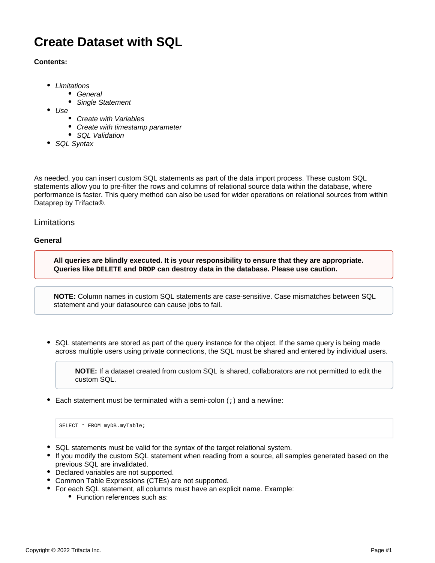# **Create Dataset with SQL**

# **Contents:**

- [Limitations](#page-0-0)
	- [General](#page-0-1)
		- [Single Statement](#page-1-0)
- [Use](#page-1-1)
	- [Create with Variables](#page-2-0)
	- [Create with timestamp parameter](#page-3-0)
	- [SQL Validation](#page-4-0)
- [SQL Syntax](#page-4-1)

As needed, you can insert custom SQL statements as part of the data import process. These custom SQL statements allow you to pre-filter the rows and columns of relational source data within the database, where performance is faster. This query method can also be used for wider operations on relational sources from within Dataprep by Trifacta®.

# <span id="page-0-0"></span>**Limitations**

# <span id="page-0-1"></span>**General**

**All queries are blindly executed. It is your responsibility to ensure that they are appropriate. Queries like DELETE and DROP can destroy data in the database. Please use caution.**

**NOTE:** Column names in custom SQL statements are case-sensitive. Case mismatches between SQL statement and your datasource can cause jobs to fail.

SQL statements are stored as part of the query instance for the object. If the same query is being made across multiple users using private connections, the SQL must be shared and entered by individual users.

**NOTE:** If a dataset created from custom SQL is shared, collaborators are not permitted to edit the custom SQL.

Each statement must be terminated with a semi-colon  $(i)$  and a newline:

SELECT \* FROM myDB.myTable;

- SQL statements must be valid for the syntax of the target relational system.
- If you modify the custom SQL statement when reading from a source, all samples generated based on the previous SQL are invalidated.
- Declared variables are not supported.
- Common Table Expressions (CTEs) are not supported.
- For each SQL statement, all columns must have an explicit name. Example:
	- Function references such as: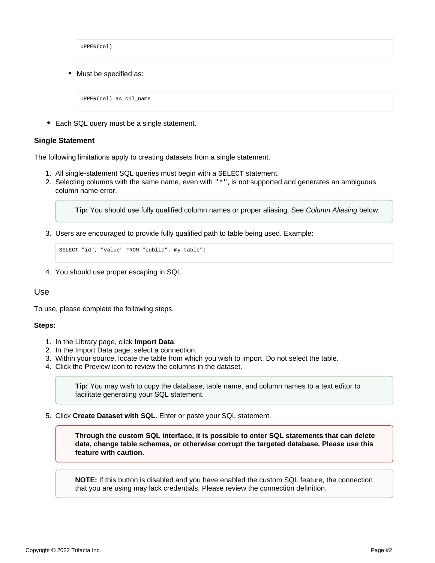UPPER(col) Must be specified as: UPPER(col) as col\_name

• Each SQL query must be a single statement.

#### <span id="page-1-0"></span>**Single Statement**

The following limitations apply to creating datasets from a single statement.

- 1. All single-statement SQL queries must begin with a SELECT statement.
- 2. Selecting columns with the same name, even with "\*", is not supported and generates an ambiguous column name error.

**Tip:** You should use fully qualified column names or proper aliasing. See Column Aliasing below.

3. Users are encouraged to provide fully qualified path to table being used. Example:

```
SELECT "id", "value" FROM "public"."my_table";
```
4. You should use proper escaping in SQL.

# <span id="page-1-1"></span>Use

To use, please complete the following steps.

#### **Steps:**

- 1. In the Library page, click **Import Data**.
- 2. In the Import Data page, select a connection.
- 3. Within your source, locate the table from which you wish to import. Do not select the table.
- 4. Click the Preview icon to review the columns in the dataset.

**Tip:** You may wish to copy the database, table name, and column names to a text editor to facilitate generating your SQL statement.

5. Click **Create Dataset with SQL**. Enter or paste your SQL statement.

**Through the custom SQL interface, it is possible to enter SQL statements that can delete data, change table schemas, or otherwise corrupt the targeted database. Please use this feature with caution.**

**NOTE:** If this button is disabled and you have enabled the custom SQL feature, the connection that you are using may lack credentials. Please review the connection definition.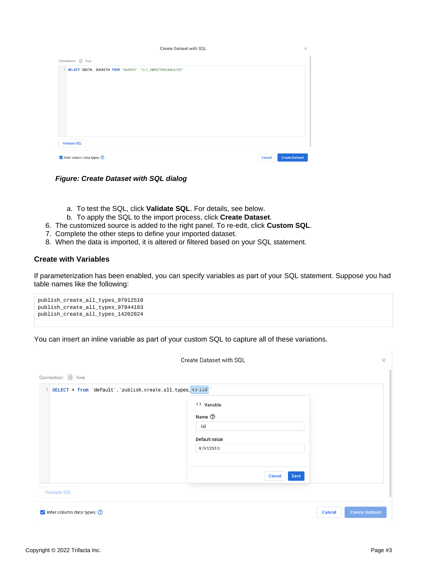

**Figure: Create Dataset with SQL dialog**

- a. To test the SQL, click **Validate SQL**. For details, see below.
- b. To apply the SQL to the import process, click **Create Dataset**.
- 6. The customized source is added to the right panel. To re-edit, click **Custom SQL**.
- 7. Complete the other steps to define your imported dataset.
- 8. When the data is imported, it is altered or filtered based on your SQL statement.

### <span id="page-2-0"></span>**Create with Variables**

If parameterization has been enabled, you can specify variables as part of your SQL statement. Suppose you had table names like the following:

```
publish_create_all_types_97912510
publish_create_all_types_97944183
publish_create_all_types_14202824
```
You can insert an inline variable as part of your custom SQL to capture all of these variations.

|                                                              | Create Dataset with SQL   | $\times$              |
|--------------------------------------------------------------|---------------------------|-----------------------|
| Connection: <i>S</i> hive                                    |                           |                       |
| SELECT * from 'default'.'publish_create_all_types_<>iid<br>1 |                           |                       |
|                                                              | <> Variable               |                       |
|                                                              | Name <sup>7</sup>         |                       |
|                                                              | iid                       |                       |
|                                                              | Default value<br>97912510 |                       |
|                                                              |                           |                       |
|                                                              | Save<br><b>Cancel</b>     |                       |
| <b>Validate SQL</b>                                          | UΠ                        |                       |
| $\vee$ Infer column data types $\circledcirc$                | <b>Cancel</b>             | <b>Create Dataset</b> |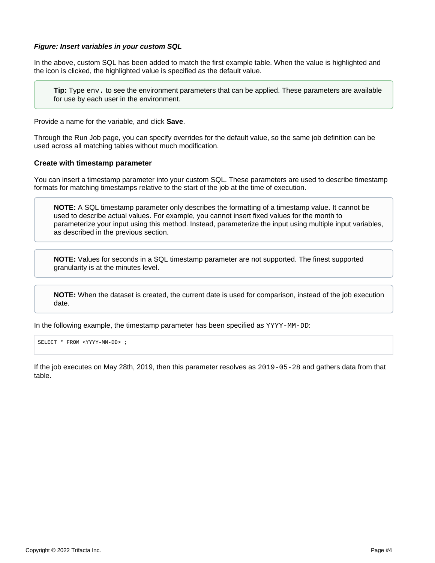#### **Figure: Insert variables in your custom SQL**

In the above, custom SQL has been added to match the first example table. When the value is highlighted and the icon is clicked, the highlighted value is specified as the default value.

**Tip:** Type env. to see the environment parameters that can be applied. These parameters are available for use by each user in the environment.

Provide a name for the variable, and click **Save**.

Through the Run Job page, you can specify overrides for the default value, so the same job definition can be used across all matching tables without much modification.

#### <span id="page-3-0"></span>**Create with timestamp parameter**

You can insert a timestamp parameter into your custom SQL. These parameters are used to describe timestamp formats for matching timestamps relative to the start of the job at the time of execution.

**NOTE:** A SQL timestamp parameter only describes the formatting of a timestamp value. It cannot be used to describe actual values. For example, you cannot insert fixed values for the month to parameterize your input using this method. Instead, parameterize the input using multiple input variables, as described in the previous section.

**NOTE:** Values for seconds in a SQL timestamp parameter are not supported. The finest supported granularity is at the minutes level.

**NOTE:** When the dataset is created, the current date is used for comparison, instead of the job execution date.

In the following example, the timestamp parameter has been specified as YYYY-MM-DD:

SELECT \* FROM <YYYY-MM-DD> ;

If the job executes on May 28th, 2019, then this parameter resolves as 2019-05-28 and gathers data from that table.